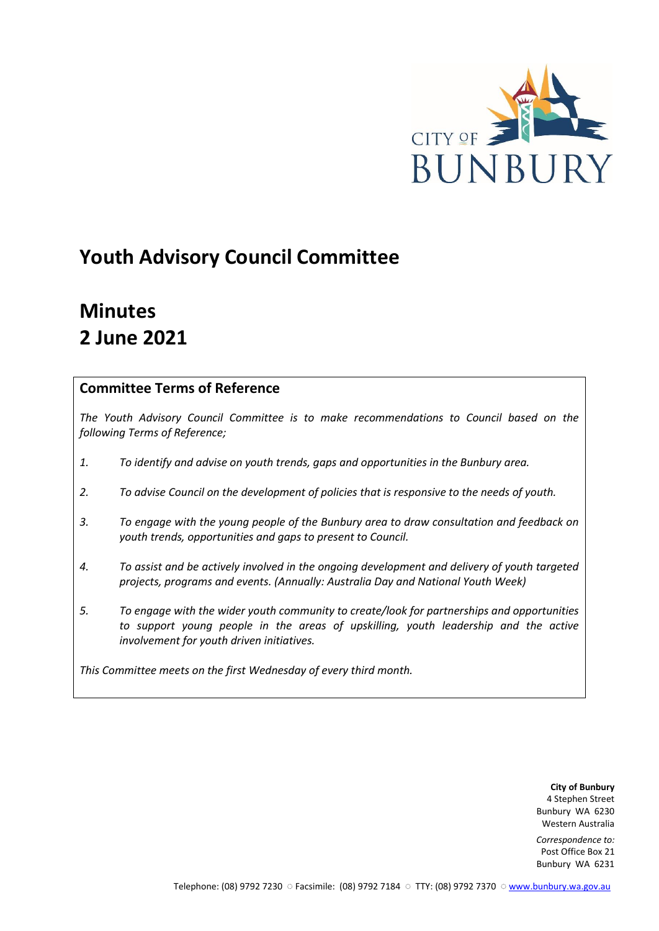

# **Youth Advisory Council Committee**

# **Minutes 2 June 2021**

## **Committee Terms of Reference**

*The Youth Advisory Council Committee is to make recommendations to Council based on the following Terms of Reference;*

- *1. To identify and advise on youth trends, gaps and opportunities in the Bunbury area.*
- *2. To advise Council on the development of policies that is responsive to the needs of youth.*
- *3. To engage with the young people of the Bunbury area to draw consultation and feedback on youth trends, opportunities and gaps to present to Council.*
- *4. To assist and be actively involved in the ongoing development and delivery of youth targeted projects, programs and events. (Annually: Australia Day and National Youth Week)*
- *5. To engage with the wider youth community to create/look for partnerships and opportunities*  to support young people in the areas of upskilling, youth leadership and the active *involvement for youth driven initiatives.*

*This Committee meets on the first Wednesday of every third month.*

**City of Bunbury** 4 Stephen Street Bunbury WA 6230 Western Australia

*Correspondence to:* Post Office Box 21 Bunbury WA 6231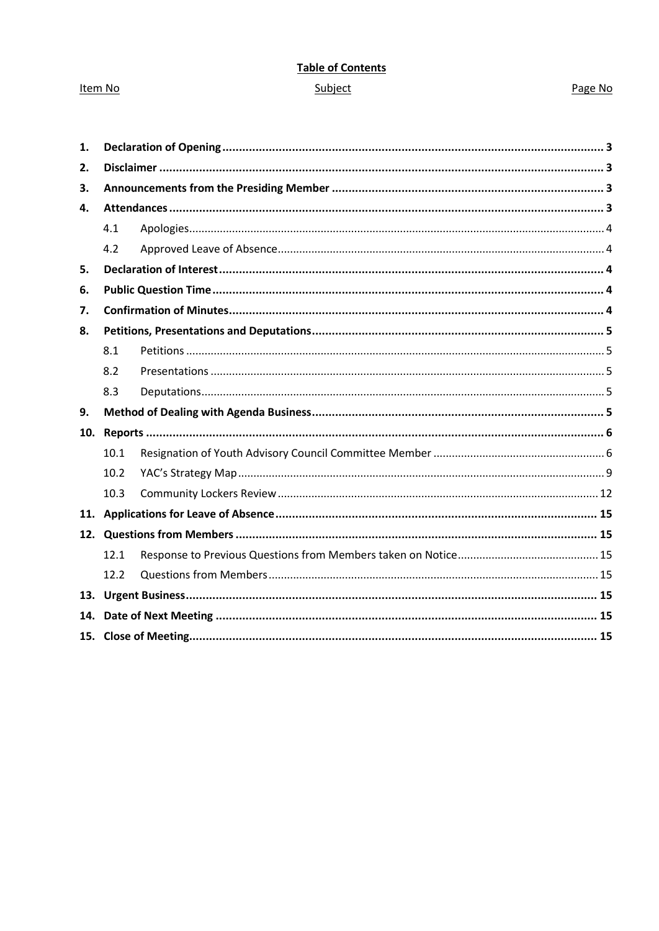# **Table of Contents**

## Item No

## Page No

## Subject

| 1.  |      |  |  |
|-----|------|--|--|
| 2.  |      |  |  |
| 3.  |      |  |  |
| 4.  |      |  |  |
|     | 4.1  |  |  |
|     | 4.2  |  |  |
| 5.  |      |  |  |
| 6.  |      |  |  |
| 7.  |      |  |  |
| 8.  |      |  |  |
|     | 8.1  |  |  |
|     | 8.2  |  |  |
|     | 8.3  |  |  |
| 9.  |      |  |  |
| 10. |      |  |  |
|     | 10.1 |  |  |
|     | 10.2 |  |  |
|     | 10.3 |  |  |
|     |      |  |  |
| 12. |      |  |  |
|     | 12.1 |  |  |
|     | 12.2 |  |  |
|     |      |  |  |
| 14. |      |  |  |
|     |      |  |  |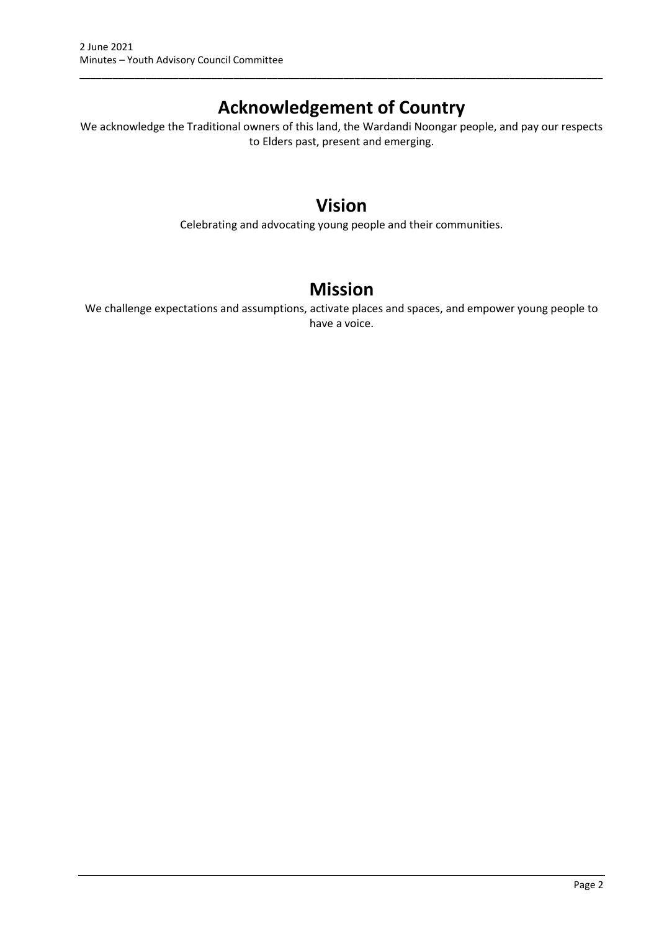## **Acknowledgement of Country**

\_\_\_\_\_\_\_\_\_\_\_\_\_\_\_\_\_\_\_\_\_\_\_\_\_\_\_\_\_\_\_\_\_\_\_\_\_\_\_\_\_\_\_\_\_\_\_\_\_\_\_\_\_\_\_\_\_\_\_\_\_\_\_\_\_\_\_\_\_\_\_\_\_\_\_\_\_\_\_\_\_\_\_\_\_\_\_\_\_\_\_\_\_\_\_

We acknowledge the Traditional owners of this land, the Wardandi Noongar people, and pay our respects to Elders past, present and emerging.

## **Vision**

Celebrating and advocating young people and their communities.

## **Mission**

We challenge expectations and assumptions, activate places and spaces, and empower young people to have a voice.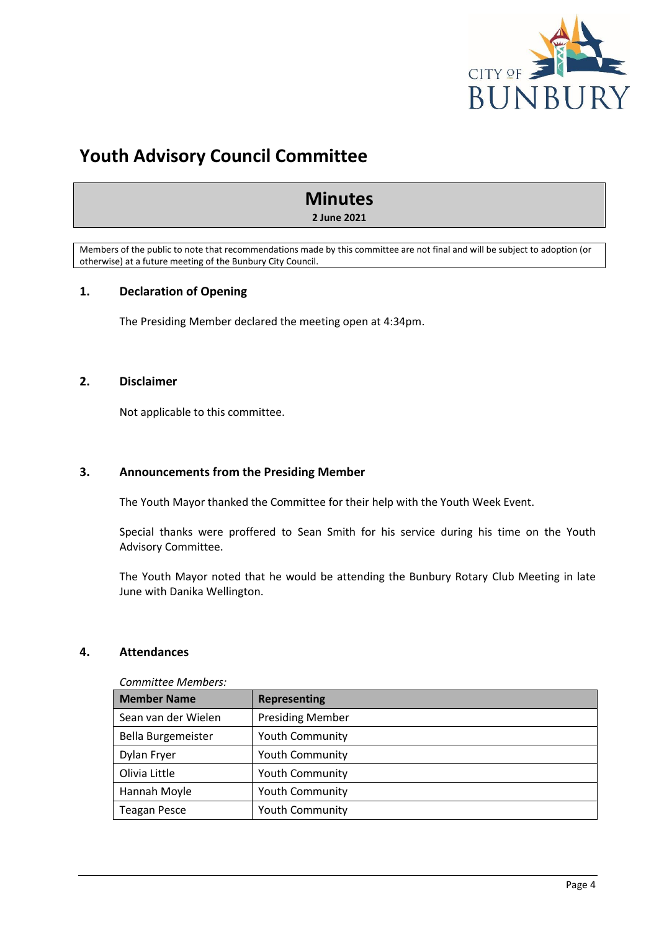

# **Youth Advisory Council Committee**

## **Minutes**

**2 June 2021**

Members of the public to note that recommendations made by this committee are not final and will be subject to adoption (or otherwise) at a future meeting of the Bunbury City Council.

## <span id="page-3-0"></span>**1. Declaration of Opening**

The Presiding Member declared the meeting open at 4:34pm.

## <span id="page-3-1"></span>**2. Disclaimer**

Not applicable to this committee.

#### <span id="page-3-2"></span>**3. Announcements from the Presiding Member**

The Youth Mayor thanked the Committee for their help with the Youth Week Event.

Special thanks were proffered to Sean Smith for his service during his time on the Youth Advisory Committee.

The Youth Mayor noted that he would be attending the Bunbury Rotary Club Meeting in late June with Danika Wellington.

#### <span id="page-3-3"></span>**4. Attendances**

| COMMITTEE MEMBERS.  |                         |  |
|---------------------|-------------------------|--|
| <b>Member Name</b>  | <b>Representing</b>     |  |
| Sean van der Wielen | <b>Presiding Member</b> |  |
| Bella Burgemeister  | <b>Youth Community</b>  |  |
| Dylan Fryer         | <b>Youth Community</b>  |  |
| Olivia Little       | <b>Youth Community</b>  |  |
| Hannah Moyle        | <b>Youth Community</b>  |  |
| <b>Teagan Pesce</b> | <b>Youth Community</b>  |  |

*Committee Members:*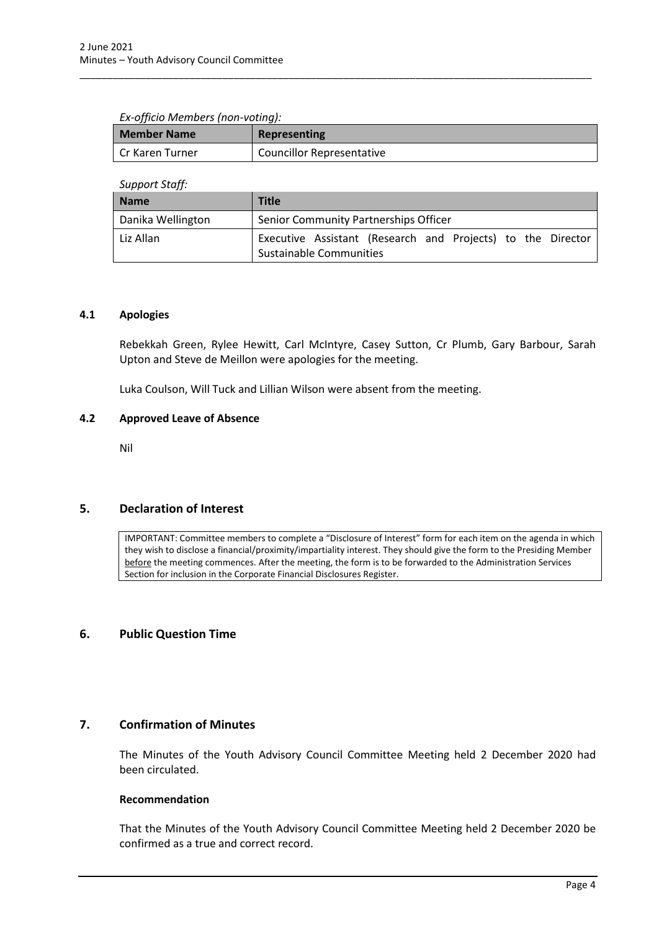#### *Ex-officio Members (non-voting):*

| <b>Member Name</b> | Representing                     |  |
|--------------------|----------------------------------|--|
| Cr Karen Turner    | <b>Councillor Representative</b> |  |

\_\_\_\_\_\_\_\_\_\_\_\_\_\_\_\_\_\_\_\_\_\_\_\_\_\_\_\_\_\_\_\_\_\_\_\_\_\_\_\_\_\_\_\_\_\_\_\_\_\_\_\_\_\_\_\_\_\_\_\_\_\_\_\_\_\_\_\_\_\_\_\_\_\_\_\_\_\_\_\_\_\_\_\_\_\_\_\_\_\_\_\_\_

*Support Staff:*

| <b>Name</b>       | <b>Title</b>                                                                           |  |  |
|-------------------|----------------------------------------------------------------------------------------|--|--|
| Danika Wellington | Senior Community Partnerships Officer                                                  |  |  |
| Liz Allan         | Executive Assistant (Research and Projects) to the Director<br>Sustainable Communities |  |  |

### <span id="page-4-0"></span>**4.1 Apologies**

Rebekkah Green, Rylee Hewitt, Carl McIntyre, Casey Sutton, Cr Plumb, Gary Barbour, Sarah Upton and Steve de Meillon were apologies for the meeting.

Luka Coulson, Will Tuck and Lillian Wilson were absent from the meeting.

#### <span id="page-4-1"></span>**4.2 Approved Leave of Absence**

Nil

## <span id="page-4-2"></span>**5. Declaration of Interest**

IMPORTANT: Committee members to complete a "Disclosure of Interest" form for each item on the agenda in which they wish to disclose a financial/proximity/impartiality interest. They should give the form to the Presiding Member before the meeting commences. After the meeting, the form is to be forwarded to the Administration Services Section for inclusion in the Corporate Financial Disclosures Register.

### <span id="page-4-3"></span>**6. Public Question Time**

## <span id="page-4-4"></span>**7. Confirmation of Minutes**

The Minutes of the Youth Advisory Council Committee Meeting held 2 December 2020 had been circulated.

#### **Recommendation**

That the Minutes of the Youth Advisory Council Committee Meeting held 2 December 2020 be confirmed as a true and correct record.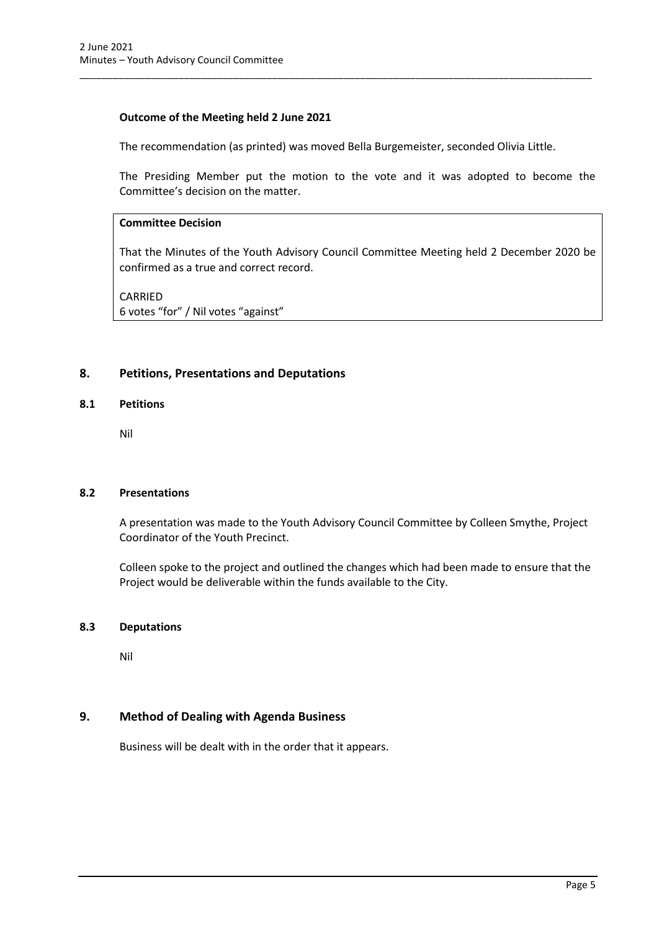## **Outcome of the Meeting held 2 June 2021**

The recommendation (as printed) was moved Bella Burgemeister, seconded Olivia Little.

\_\_\_\_\_\_\_\_\_\_\_\_\_\_\_\_\_\_\_\_\_\_\_\_\_\_\_\_\_\_\_\_\_\_\_\_\_\_\_\_\_\_\_\_\_\_\_\_\_\_\_\_\_\_\_\_\_\_\_\_\_\_\_\_\_\_\_\_\_\_\_\_\_\_\_\_\_\_\_\_\_\_\_\_\_\_\_\_\_\_\_\_\_

The Presiding Member put the motion to the vote and it was adopted to become the Committee's decision on the matter.

### **Committee Decision**

That the Minutes of the Youth Advisory Council Committee Meeting held 2 December 2020 be confirmed as a true and correct record.

CARRIED 6 votes "for" / Nil votes "against"

## <span id="page-5-0"></span>**8. Petitions, Presentations and Deputations**

#### <span id="page-5-1"></span>**8.1 Petitions**

Nil

#### <span id="page-5-2"></span>**8.2 Presentations**

A presentation was made to the Youth Advisory Council Committee by Colleen Smythe, Project Coordinator of the Youth Precinct.

Colleen spoke to the project and outlined the changes which had been made to ensure that the Project would be deliverable within the funds available to the City.

#### <span id="page-5-3"></span>**8.3 Deputations**

Nil

## <span id="page-5-4"></span>**9. Method of Dealing with Agenda Business**

Business will be dealt with in the order that it appears.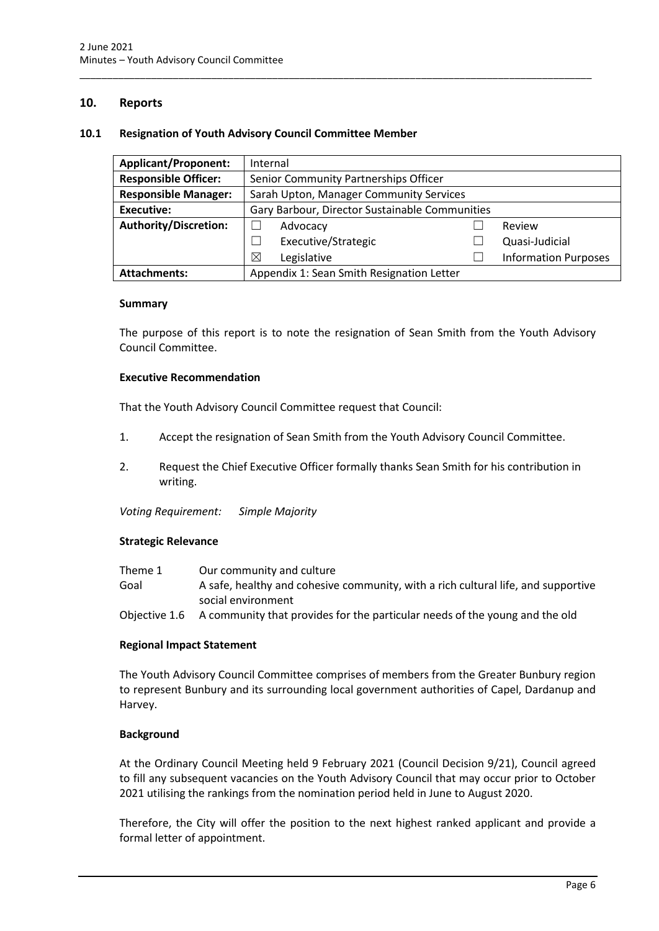## <span id="page-6-0"></span>**10. Reports**

#### <span id="page-6-1"></span>**10.1 Resignation of Youth Advisory Council Committee Member**

| <b>Applicant/Proponent:</b>  | Internal                                       |  |  |                             |
|------------------------------|------------------------------------------------|--|--|-----------------------------|
| <b>Responsible Officer:</b>  | Senior Community Partnerships Officer          |  |  |                             |
| <b>Responsible Manager:</b>  | Sarah Upton, Manager Community Services        |  |  |                             |
| <b>Executive:</b>            | Gary Barbour, Director Sustainable Communities |  |  |                             |
| <b>Authority/Discretion:</b> | Advocacy                                       |  |  | Review                      |
|                              | Executive/Strategic                            |  |  | Quasi-Judicial              |
|                              | ⊠<br>Legislative                               |  |  | <b>Information Purposes</b> |
| <b>Attachments:</b>          | Appendix 1: Sean Smith Resignation Letter      |  |  |                             |

\_\_\_\_\_\_\_\_\_\_\_\_\_\_\_\_\_\_\_\_\_\_\_\_\_\_\_\_\_\_\_\_\_\_\_\_\_\_\_\_\_\_\_\_\_\_\_\_\_\_\_\_\_\_\_\_\_\_\_\_\_\_\_\_\_\_\_\_\_\_\_\_\_\_\_\_\_\_\_\_\_\_\_\_\_\_\_\_\_\_\_\_\_

#### **Summary**

The purpose of this report is to note the resignation of Sean Smith from the Youth Advisory Council Committee.

#### **Executive Recommendation**

That the Youth Advisory Council Committee request that Council:

- 1. Accept the resignation of Sean Smith from the Youth Advisory Council Committee.
- 2. Request the Chief Executive Officer formally thanks Sean Smith for his contribution in writing.

*Voting Requirement: Simple Majority* 

#### **Strategic Relevance**

| Theme 1 | Our community and culture                                                                 |
|---------|-------------------------------------------------------------------------------------------|
| Goal    | A safe, healthy and cohesive community, with a rich cultural life, and supportive         |
|         | social environment                                                                        |
|         | Objective 1.6 A community that provides for the particular needs of the young and the old |

#### **Regional Impact Statement**

The Youth Advisory Council Committee comprises of members from the Greater Bunbury region to represent Bunbury and its surrounding local government authorities of Capel, Dardanup and Harvey.

#### **Background**

At the Ordinary Council Meeting held 9 February 2021 (Council Decision 9/21), Council agreed to fill any subsequent vacancies on the Youth Advisory Council that may occur prior to October 2021 utilising the rankings from the nomination period held in June to August 2020.

Therefore, the City will offer the position to the next highest ranked applicant and provide a formal letter of appointment.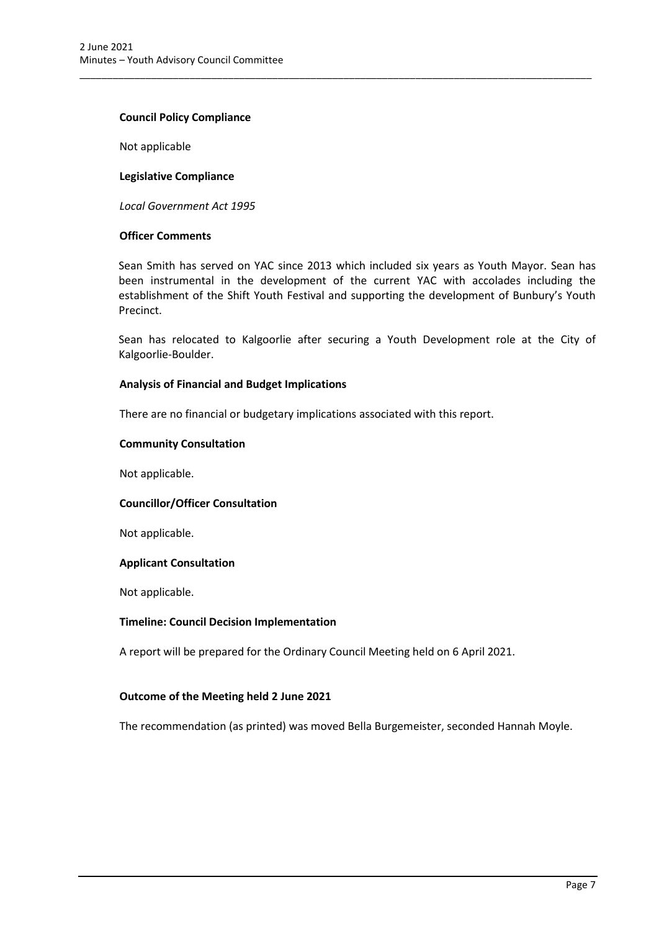#### **Council Policy Compliance**

Not applicable

#### **Legislative Compliance**

*Local Government Act 1995*

### **Officer Comments**

Sean Smith has served on YAC since 2013 which included six years as Youth Mayor. Sean has been instrumental in the development of the current YAC with accolades including the establishment of the Shift Youth Festival and supporting the development of Bunbury's Youth Precinct.

\_\_\_\_\_\_\_\_\_\_\_\_\_\_\_\_\_\_\_\_\_\_\_\_\_\_\_\_\_\_\_\_\_\_\_\_\_\_\_\_\_\_\_\_\_\_\_\_\_\_\_\_\_\_\_\_\_\_\_\_\_\_\_\_\_\_\_\_\_\_\_\_\_\_\_\_\_\_\_\_\_\_\_\_\_\_\_\_\_\_\_\_\_

Sean has relocated to Kalgoorlie after securing a Youth Development role at the City of Kalgoorlie-Boulder.

#### **Analysis of Financial and Budget Implications**

There are no financial or budgetary implications associated with this report.

#### **Community Consultation**

Not applicable.

#### **Councillor/Officer Consultation**

Not applicable.

#### **Applicant Consultation**

Not applicable.

#### **Timeline: Council Decision Implementation**

A report will be prepared for the Ordinary Council Meeting held on 6 April 2021.

#### **Outcome of the Meeting held 2 June 2021**

The recommendation (as printed) was moved Bella Burgemeister, seconded Hannah Moyle.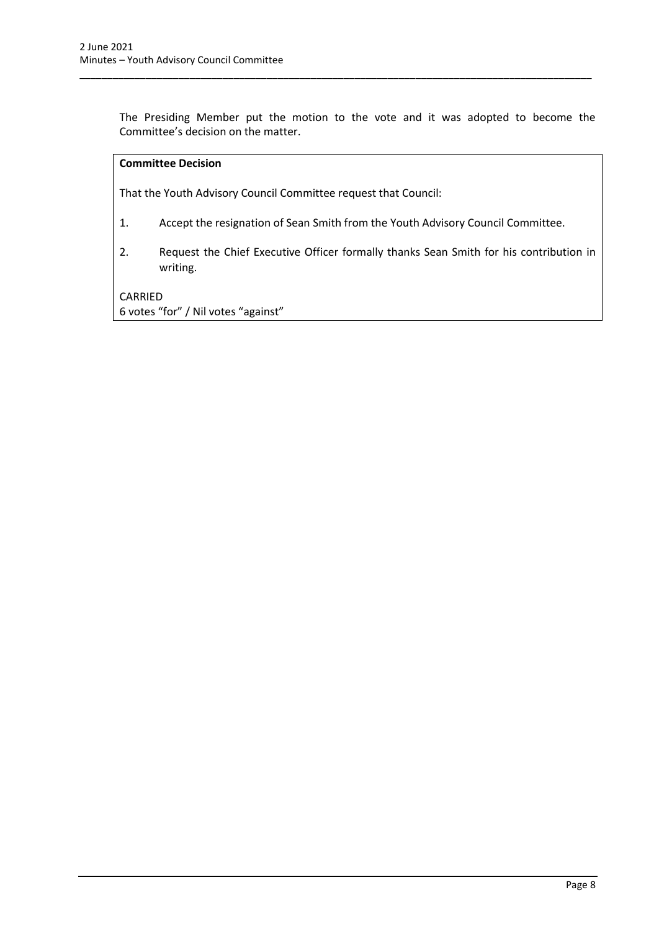The Presiding Member put the motion to the vote and it was adopted to become the Committee's decision on the matter.

\_\_\_\_\_\_\_\_\_\_\_\_\_\_\_\_\_\_\_\_\_\_\_\_\_\_\_\_\_\_\_\_\_\_\_\_\_\_\_\_\_\_\_\_\_\_\_\_\_\_\_\_\_\_\_\_\_\_\_\_\_\_\_\_\_\_\_\_\_\_\_\_\_\_\_\_\_\_\_\_\_\_\_\_\_\_\_\_\_\_\_\_\_

## **Committee Decision**

That the Youth Advisory Council Committee request that Council:

- 1. Accept the resignation of Sean Smith from the Youth Advisory Council Committee.
- 2. Request the Chief Executive Officer formally thanks Sean Smith for his contribution in writing.

### CARRIED

6 votes "for" / Nil votes "against"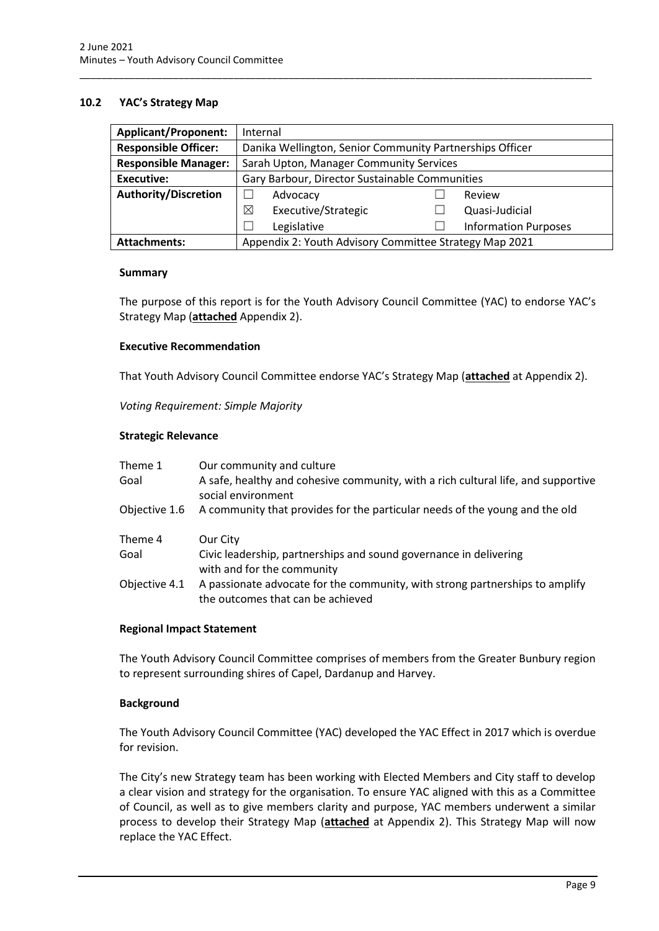### <span id="page-9-0"></span>**10.2 YAC's Strategy Map**

| <b>Applicant/Proponent:</b> | Internal                                                 |                             |  |  |
|-----------------------------|----------------------------------------------------------|-----------------------------|--|--|
| <b>Responsible Officer:</b> | Danika Wellington, Senior Community Partnerships Officer |                             |  |  |
| <b>Responsible Manager:</b> | Sarah Upton, Manager Community Services                  |                             |  |  |
| <b>Executive:</b>           | Gary Barbour, Director Sustainable Communities           |                             |  |  |
| <b>Authority/Discretion</b> | ×<br>Advocacy                                            | Review                      |  |  |
|                             | ⊠<br>Executive/Strategic                                 | Quasi-Judicial              |  |  |
|                             | Legislative                                              | <b>Information Purposes</b> |  |  |
| <b>Attachments:</b>         | Appendix 2: Youth Advisory Committee Strategy Map 2021   |                             |  |  |

\_\_\_\_\_\_\_\_\_\_\_\_\_\_\_\_\_\_\_\_\_\_\_\_\_\_\_\_\_\_\_\_\_\_\_\_\_\_\_\_\_\_\_\_\_\_\_\_\_\_\_\_\_\_\_\_\_\_\_\_\_\_\_\_\_\_\_\_\_\_\_\_\_\_\_\_\_\_\_\_\_\_\_\_\_\_\_\_\_\_\_\_\_

#### **Summary**

The purpose of this report is for the Youth Advisory Council Committee (YAC) to endorse YAC's Strategy Map (**attached** Appendix 2).

#### **Executive Recommendation**

That Youth Advisory Council Committee endorse YAC's Strategy Map (**attached** at Appendix 2).

*Voting Requirement: Simple Majority* 

#### **Strategic Relevance**

| Theme 1<br>Goal | Our community and culture<br>A safe, healthy and cohesive community, with a rich cultural life, and supportive<br>social environment |
|-----------------|--------------------------------------------------------------------------------------------------------------------------------------|
| Objective 1.6   | A community that provides for the particular needs of the young and the old                                                          |
| Theme 4         | Our City                                                                                                                             |
| Goal            | Civic leadership, partnerships and sound governance in delivering<br>with and for the community                                      |
| Objective 4.1   | A passionate advocate for the community, with strong partnerships to amplify<br>the outcomes that can be achieved                    |

#### **Regional Impact Statement**

The Youth Advisory Council Committee comprises of members from the Greater Bunbury region to represent surrounding shires of Capel, Dardanup and Harvey.

#### **Background**

The Youth Advisory Council Committee (YAC) developed the YAC Effect in 2017 which is overdue for revision.

The City's new Strategy team has been working with Elected Members and City staff to develop a clear vision and strategy for the organisation. To ensure YAC aligned with this as a Committee of Council, as well as to give members clarity and purpose, YAC members underwent a similar process to develop their Strategy Map (**attached** at Appendix 2). This Strategy Map will now replace the YAC Effect.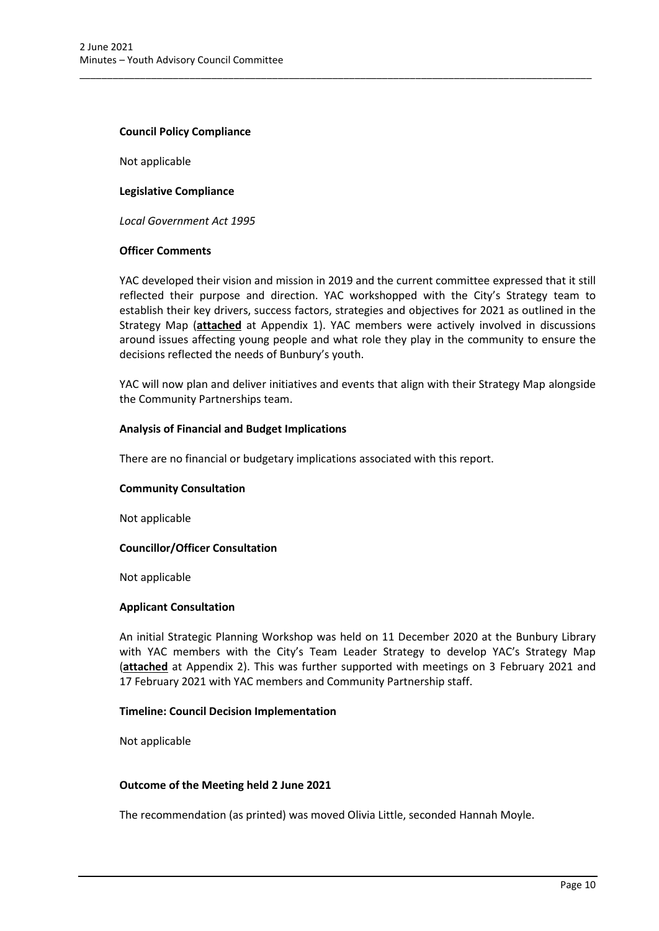#### **Council Policy Compliance**

Not applicable

#### **Legislative Compliance**

*Local Government Act 1995*

#### **Officer Comments**

YAC developed their vision and mission in 2019 and the current committee expressed that it still reflected their purpose and direction. YAC workshopped with the City's Strategy team to establish their key drivers, success factors, strategies and objectives for 2021 as outlined in the Strategy Map (**attached** at Appendix 1). YAC members were actively involved in discussions around issues affecting young people and what role they play in the community to ensure the decisions reflected the needs of Bunbury's youth.

\_\_\_\_\_\_\_\_\_\_\_\_\_\_\_\_\_\_\_\_\_\_\_\_\_\_\_\_\_\_\_\_\_\_\_\_\_\_\_\_\_\_\_\_\_\_\_\_\_\_\_\_\_\_\_\_\_\_\_\_\_\_\_\_\_\_\_\_\_\_\_\_\_\_\_\_\_\_\_\_\_\_\_\_\_\_\_\_\_\_\_\_\_

YAC will now plan and deliver initiatives and events that align with their Strategy Map alongside the Community Partnerships team.

#### **Analysis of Financial and Budget Implications**

There are no financial or budgetary implications associated with this report.

#### **Community Consultation**

Not applicable

#### **Councillor/Officer Consultation**

Not applicable

#### **Applicant Consultation**

An initial Strategic Planning Workshop was held on 11 December 2020 at the Bunbury Library with YAC members with the City's Team Leader Strategy to develop YAC's Strategy Map (**attached** at Appendix 2). This was further supported with meetings on 3 February 2021 and 17 February 2021 with YAC members and Community Partnership staff.

#### **Timeline: Council Decision Implementation**

Not applicable

#### **Outcome of the Meeting held 2 June 2021**

The recommendation (as printed) was moved Olivia Little, seconded Hannah Moyle.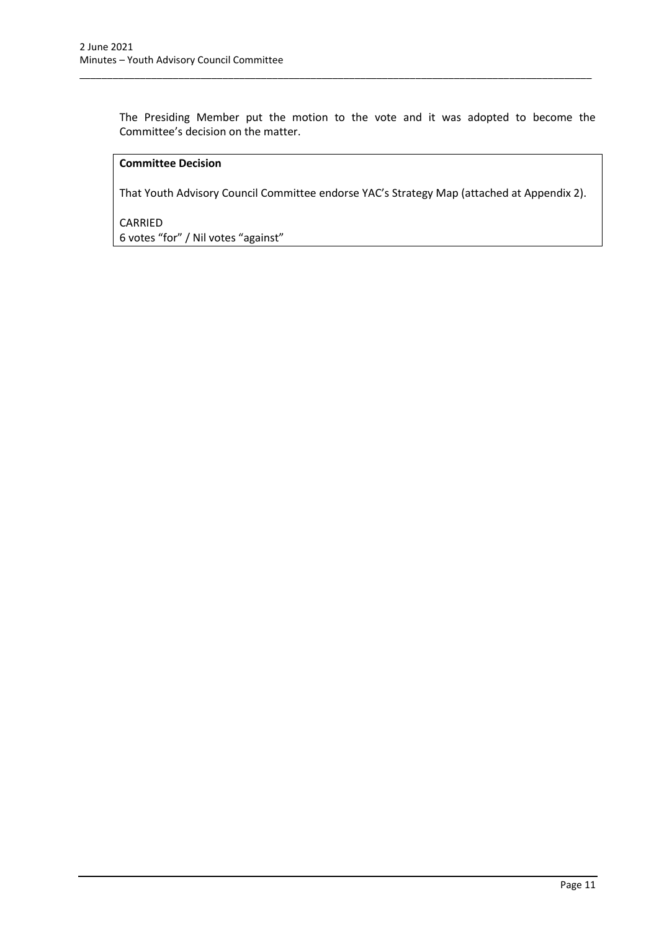The Presiding Member put the motion to the vote and it was adopted to become the Committee's decision on the matter.

\_\_\_\_\_\_\_\_\_\_\_\_\_\_\_\_\_\_\_\_\_\_\_\_\_\_\_\_\_\_\_\_\_\_\_\_\_\_\_\_\_\_\_\_\_\_\_\_\_\_\_\_\_\_\_\_\_\_\_\_\_\_\_\_\_\_\_\_\_\_\_\_\_\_\_\_\_\_\_\_\_\_\_\_\_\_\_\_\_\_\_\_\_

## **Committee Decision**

That Youth Advisory Council Committee endorse YAC's Strategy Map (attached at Appendix 2).

CARRIED 6 votes "for" / Nil votes "against"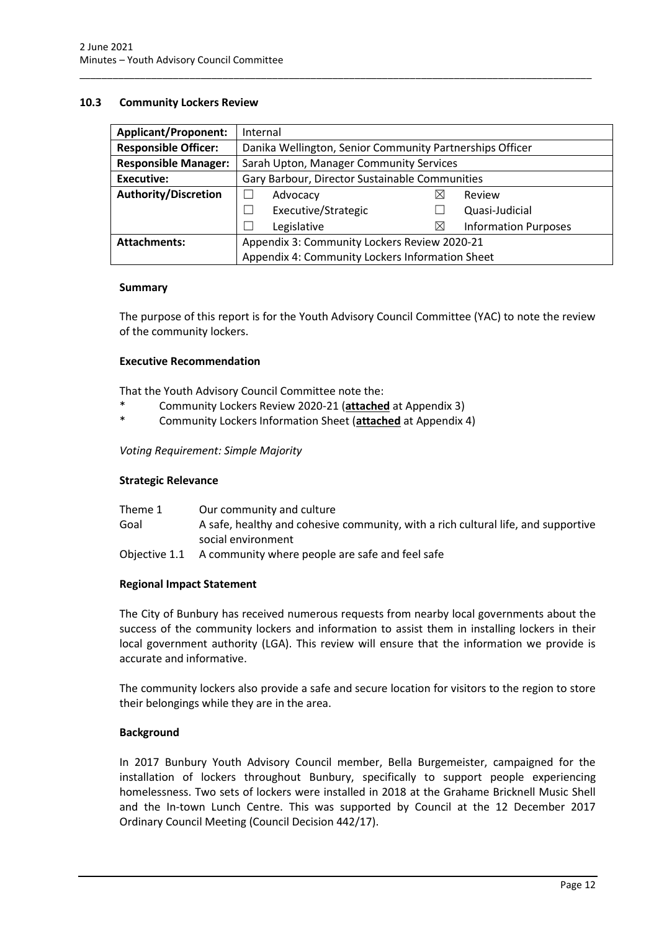#### <span id="page-12-0"></span>**10.3 Community Lockers Review**

| <b>Applicant/Proponent:</b> | Internal                                                 |          |                             |  |
|-----------------------------|----------------------------------------------------------|----------|-----------------------------|--|
| <b>Responsible Officer:</b> | Danika Wellington, Senior Community Partnerships Officer |          |                             |  |
| <b>Responsible Manager:</b> | Sarah Upton, Manager Community Services                  |          |                             |  |
| <b>Executive:</b>           | Gary Barbour, Director Sustainable Communities           |          |                             |  |
| <b>Authority/Discretion</b> | Advocacy                                                 |          | Review                      |  |
|                             | Executive/Strategic<br>$\mathcal{L}$                     |          | Quasi-Judicial              |  |
|                             | Legislative                                              | $\times$ | <b>Information Purposes</b> |  |
| <b>Attachments:</b>         | Appendix 3: Community Lockers Review 2020-21             |          |                             |  |
|                             | Appendix 4: Community Lockers Information Sheet          |          |                             |  |

\_\_\_\_\_\_\_\_\_\_\_\_\_\_\_\_\_\_\_\_\_\_\_\_\_\_\_\_\_\_\_\_\_\_\_\_\_\_\_\_\_\_\_\_\_\_\_\_\_\_\_\_\_\_\_\_\_\_\_\_\_\_\_\_\_\_\_\_\_\_\_\_\_\_\_\_\_\_\_\_\_\_\_\_\_\_\_\_\_\_\_\_\_

#### **Summary**

The purpose of this report is for the Youth Advisory Council Committee (YAC) to note the review of the community lockers.

### **Executive Recommendation**

That the Youth Advisory Council Committee note the:

- \* Community Lockers Review 2020-21 (**attached** at Appendix 3)
- \* Community Lockers Information Sheet (**attached** at Appendix 4)

#### *Voting Requirement: Simple Majority*

#### **Strategic Relevance**

| Theme 1 | Our community and culture                                                         |
|---------|-----------------------------------------------------------------------------------|
| Goal    | A safe, healthy and cohesive community, with a rich cultural life, and supportive |
|         | social environment                                                                |
|         | Objective 1.1 A community where people are safe and feel safe                     |

#### **Regional Impact Statement**

The City of Bunbury has received numerous requests from nearby local governments about the success of the community lockers and information to assist them in installing lockers in their local government authority (LGA). This review will ensure that the information we provide is accurate and informative.

The community lockers also provide a safe and secure location for visitors to the region to store their belongings while they are in the area.

#### **Background**

In 2017 Bunbury Youth Advisory Council member, Bella Burgemeister, campaigned for the installation of lockers throughout Bunbury, specifically to support people experiencing homelessness. Two sets of lockers were installed in 2018 at the Grahame Bricknell Music Shell and the In-town Lunch Centre. This was supported by Council at the 12 December 2017 Ordinary Council Meeting (Council Decision 442/17).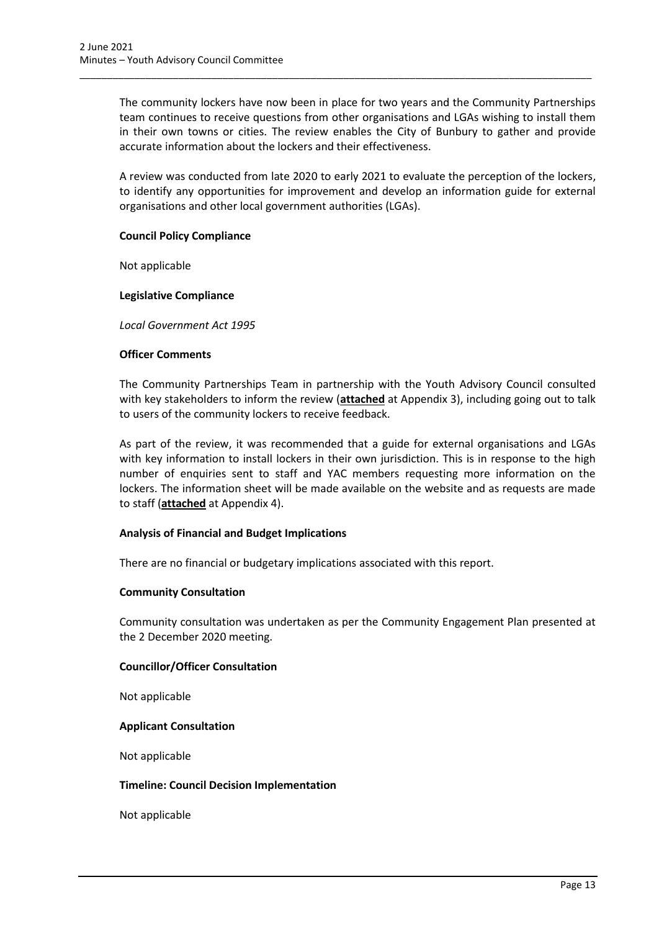The community lockers have now been in place for two years and the Community Partnerships team continues to receive questions from other organisations and LGAs wishing to install them in their own towns or cities. The review enables the City of Bunbury to gather and provide accurate information about the lockers and their effectiveness.

\_\_\_\_\_\_\_\_\_\_\_\_\_\_\_\_\_\_\_\_\_\_\_\_\_\_\_\_\_\_\_\_\_\_\_\_\_\_\_\_\_\_\_\_\_\_\_\_\_\_\_\_\_\_\_\_\_\_\_\_\_\_\_\_\_\_\_\_\_\_\_\_\_\_\_\_\_\_\_\_\_\_\_\_\_\_\_\_\_\_\_\_\_

A review was conducted from late 2020 to early 2021 to evaluate the perception of the lockers, to identify any opportunities for improvement and develop an information guide for external organisations and other local government authorities (LGAs).

#### **Council Policy Compliance**

Not applicable

#### **Legislative Compliance**

*Local Government Act 1995*

#### **Officer Comments**

The Community Partnerships Team in partnership with the Youth Advisory Council consulted with key stakeholders to inform the review (**attached** at Appendix 3), including going out to talk to users of the community lockers to receive feedback.

As part of the review, it was recommended that a guide for external organisations and LGAs with key information to install lockers in their own jurisdiction. This is in response to the high number of enquiries sent to staff and YAC members requesting more information on the lockers. The information sheet will be made available on the website and as requests are made to staff (**attached** at Appendix 4).

#### **Analysis of Financial and Budget Implications**

There are no financial or budgetary implications associated with this report.

#### **Community Consultation**

Community consultation was undertaken as per the Community Engagement Plan presented at the 2 December 2020 meeting.

#### **Councillor/Officer Consultation**

Not applicable

#### **Applicant Consultation**

Not applicable

#### **Timeline: Council Decision Implementation**

Not applicable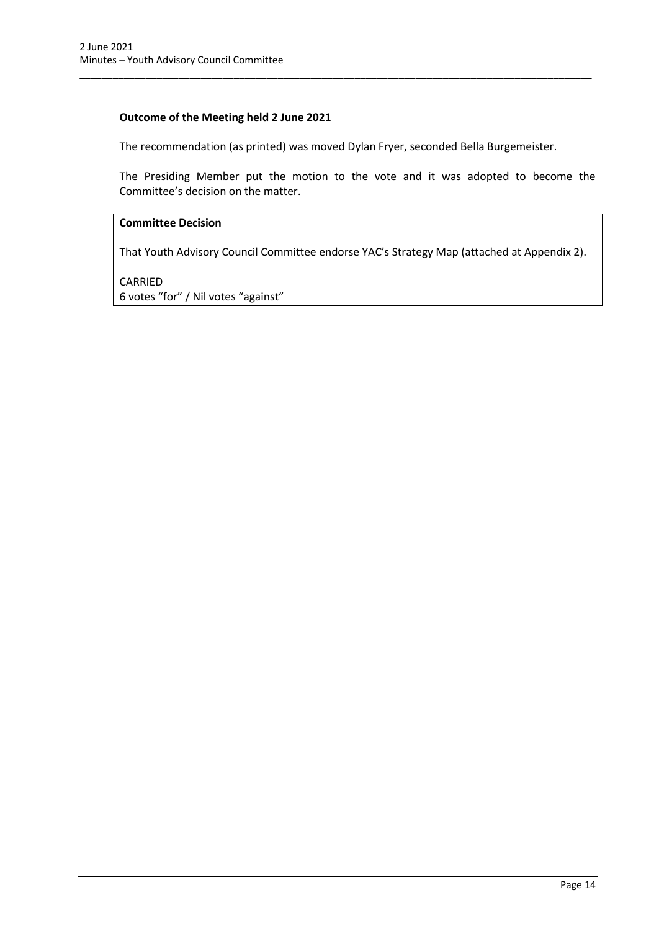## **Outcome of the Meeting held 2 June 2021**

The recommendation (as printed) was moved Dylan Fryer, seconded Bella Burgemeister.

\_\_\_\_\_\_\_\_\_\_\_\_\_\_\_\_\_\_\_\_\_\_\_\_\_\_\_\_\_\_\_\_\_\_\_\_\_\_\_\_\_\_\_\_\_\_\_\_\_\_\_\_\_\_\_\_\_\_\_\_\_\_\_\_\_\_\_\_\_\_\_\_\_\_\_\_\_\_\_\_\_\_\_\_\_\_\_\_\_\_\_\_\_

The Presiding Member put the motion to the vote and it was adopted to become the Committee's decision on the matter.

## **Committee Decision**

That Youth Advisory Council Committee endorse YAC's Strategy Map (attached at Appendix 2).

CARRIED 6 votes "for" / Nil votes "against"